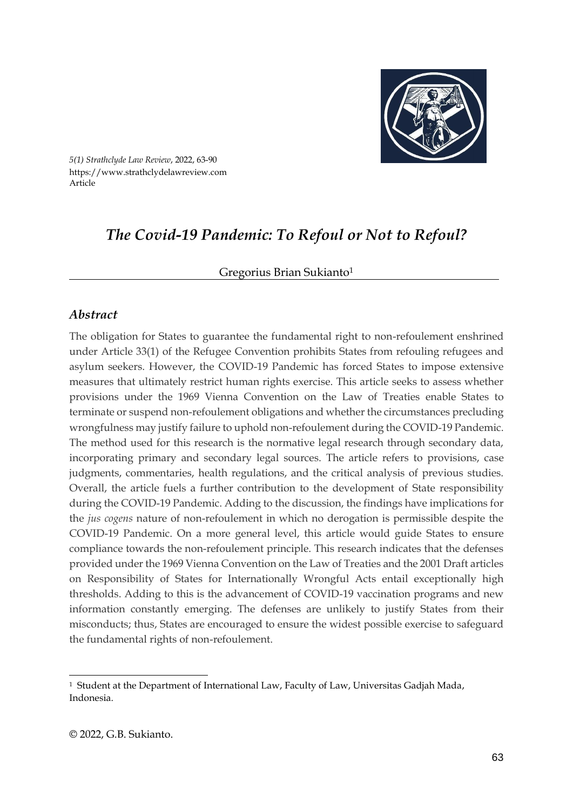

*5(1) Strathclyde Law Review*, 2022, 63-90 https://www.strathclydelawreview.com Article

# *The Covid-19 Pandemic: To Refoul or Not to Refoul?*

#### Gregorius Brian Sukianto<sup>1</sup>

### *Abstract*

The obligation for States to guarantee the fundamental right to non-refoulement enshrined under Article 33(1) of the Refugee Convention prohibits States from refouling refugees and asylum seekers. However, the COVID-19 Pandemic has forced States to impose extensive measures that ultimately restrict human rights exercise. This article seeks to assess whether provisions under the 1969 Vienna Convention on the Law of Treaties enable States to terminate or suspend non-refoulement obligations and whether the circumstances precluding wrongfulness may justify failure to uphold non-refoulement during the COVID-19 Pandemic. The method used for this research is the normative legal research through secondary data, incorporating primary and secondary legal sources. The article refers to provisions, case judgments, commentaries, health regulations, and the critical analysis of previous studies. Overall, the article fuels a further contribution to the development of State responsibility during the COVID-19 Pandemic. Adding to the discussion, the findings have implications for the *jus cogens* nature of non-refoulement in which no derogation is permissible despite the COVID-19 Pandemic. On a more general level, this article would guide States to ensure compliance towards the non-refoulement principle. This research indicates that the defenses provided under the 1969 Vienna Convention on the Law of Treaties and the 2001 Draft articles on Responsibility of States for Internationally Wrongful Acts entail exceptionally high thresholds. Adding to this is the advancement of COVID-19 vaccination programs and new information constantly emerging. The defenses are unlikely to justify States from their misconducts; thus, States are encouraged to ensure the widest possible exercise to safeguard the fundamental rights of non-refoulement.

<sup>1</sup> Student at the Department of International Law, Faculty of Law, Universitas Gadjah Mada, Indonesia.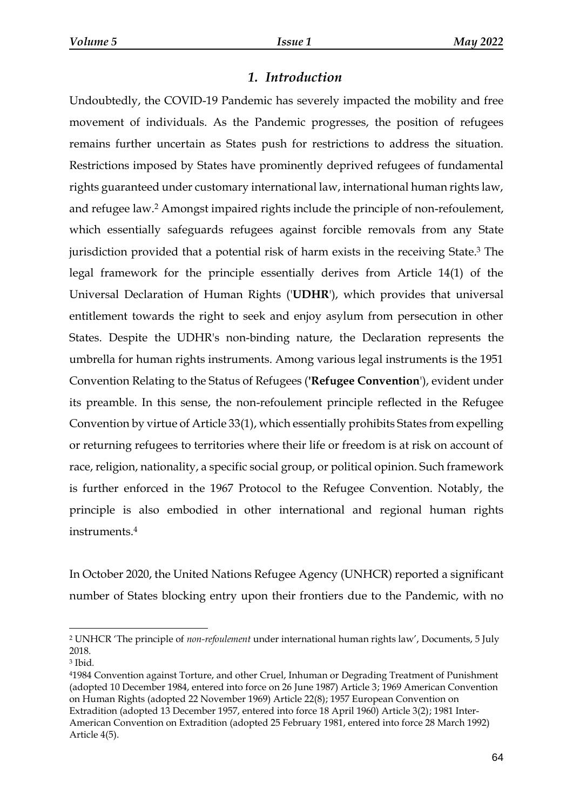# *1. Introduction*

Undoubtedly, the COVID-19 Pandemic has severely impacted the mobility and free movement of individuals. As the Pandemic progresses, the position of refugees remains further uncertain as States push for restrictions to address the situation. Restrictions imposed by States have prominently deprived refugees of fundamental rights guaranteed under customary international law, international human rights law, and refugee law.<sup>2</sup> Amongst impaired rights include the principle of non-refoulement, which essentially safeguards refugees against forcible removals from any State jurisdiction provided that a potential risk of harm exists in the receiving State. <sup>3</sup> The legal framework for the principle essentially derives from Article 14(1) of the Universal Declaration of Human Rights ('**UDHR**'), which provides that universal entitlement towards the right to seek and enjoy asylum from persecution in other States. Despite the UDHR's non-binding nature, the Declaration represents the umbrella for human rights instruments. Among various legal instruments is the 1951 Convention Relating to the Status of Refugees (**'Refugee Convention**'), evident under its preamble. In this sense, the non-refoulement principle reflected in the Refugee Convention by virtue of Article 33(1), which essentially prohibits States from expelling or returning refugees to territories where their life or freedom is at risk on account of race, religion, nationality, a specific social group, or political opinion. Such framework is further enforced in the 1967 Protocol to the Refugee Convention. Notably, the principle is also embodied in other international and regional human rights instruments.<sup>4</sup>

In October 2020, the United Nations Refugee Agency (UNHCR) reported a significant number of States blocking entry upon their frontiers due to the Pandemic, with no

<sup>2</sup> UNHCR 'The principle of *non-refoulement* under international human rights law', Documents, 5 July 2018.

<sup>3</sup> Ibid*.*

<sup>4</sup>1984 Convention against Torture, and other Cruel, Inhuman or Degrading Treatment of Punishment (adopted 10 December 1984, entered into force on 26 June 1987) Article 3; 1969 American Convention on Human Rights (adopted 22 November 1969) Article 22(8); 1957 European Convention on Extradition (adopted 13 December 1957, entered into force 18 April 1960) Article 3(2); 1981 Inter-American Convention on Extradition (adopted 25 February 1981, entered into force 28 March 1992) Article 4(5).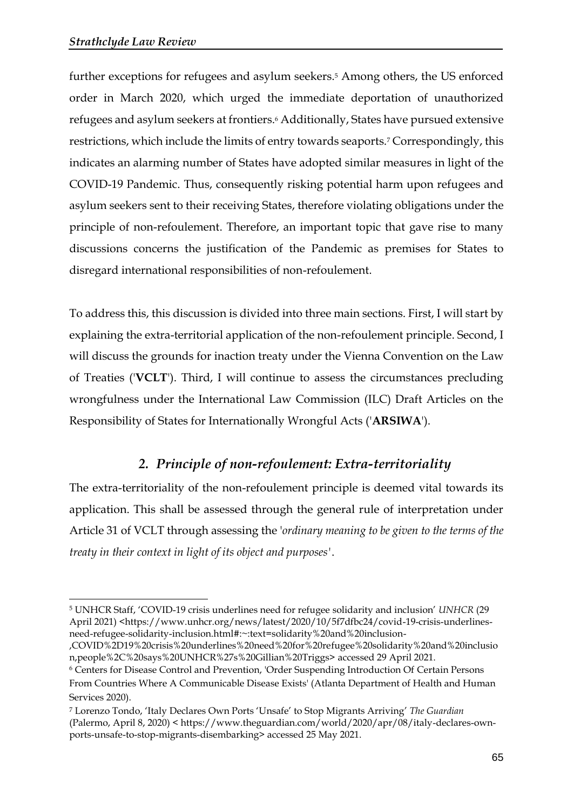further exceptions for refugees and asylum seekers.<sup>5</sup> Among others, the US enforced order in March 2020, which urged the immediate deportation of unauthorized refugees and asylum seekers at frontiers.<sup>6</sup> Additionally, States have pursued extensive restrictions, which include the limits of entry towards seaports.<sup>7</sup> Correspondingly, this indicates an alarming number of States have adopted similar measures in light of the COVID-19 Pandemic. Thus, consequently risking potential harm upon refugees and asylum seekers sent to their receiving States, therefore violating obligations under the principle of non-refoulement. Therefore, an important topic that gave rise to many discussions concerns the justification of the Pandemic as premises for States to disregard international responsibilities of non-refoulement.

To address this, this discussion is divided into three main sections. First, I will start by explaining the extra-territorial application of the non-refoulement principle. Second, I will discuss the grounds for inaction treaty under the Vienna Convention on the Law of Treaties ('**VCLT**'). Third, I will continue to assess the circumstances precluding wrongfulness under the International Law Commission (ILC) Draft Articles on the Responsibility of States for Internationally Wrongful Acts ('**ARSIWA**').

# *2. Principle of non-refoulement: Extra-territoriality*

The extra-territoriality of the non-refoulement principle is deemed vital towards its application. This shall be assessed through the general rule of interpretation under Article 31 of VCLT through assessing the '*ordinary meaning to be given to the terms of the treaty in their context in light of its object and purposes'*.

<sup>5</sup> UNHCR Staff, 'COVID-19 crisis underlines need for refugee solidarity and inclusion' *UNHCR* (29 April 2021) <https://www.unhcr.org/news/latest/2020/10/5f7dfbc24/covid-19-crisis-underlinesneed-refugee-solidarity-inclusion.html#:~:text=solidarity%20and%20inclusion-

<sup>,</sup>COVID%2D19%20crisis%20underlines%20need%20for%20refugee%20solidarity%20and%20inclusio n,people%2C%20says%20UNHCR%27s%20Gillian%20Triggs> accessed 29 April 2021.

<sup>6</sup> Centers for Disease Control and Prevention, 'Order Suspending Introduction Of Certain Persons From Countries Where A Communicable Disease Exists' (Atlanta Department of Health and Human Services 2020).

<sup>7</sup> Lorenzo Tondo, 'Italy Declares Own Ports 'Unsafe' to Stop Migrants Arriving' *The Guardian* (Palermo, April 8, 2020) < [https://www.theguardian.com/world/2020/apr/08/italy-declares-own](https://www.theguardian.com/world/2020/apr/08/italy-declares-own-ports-unsafe-to-stop-migrants-disembarking)[ports-unsafe-to-stop-migrants-disembarking>](https://www.theguardian.com/world/2020/apr/08/italy-declares-own-ports-unsafe-to-stop-migrants-disembarking) accessed 25 May 2021.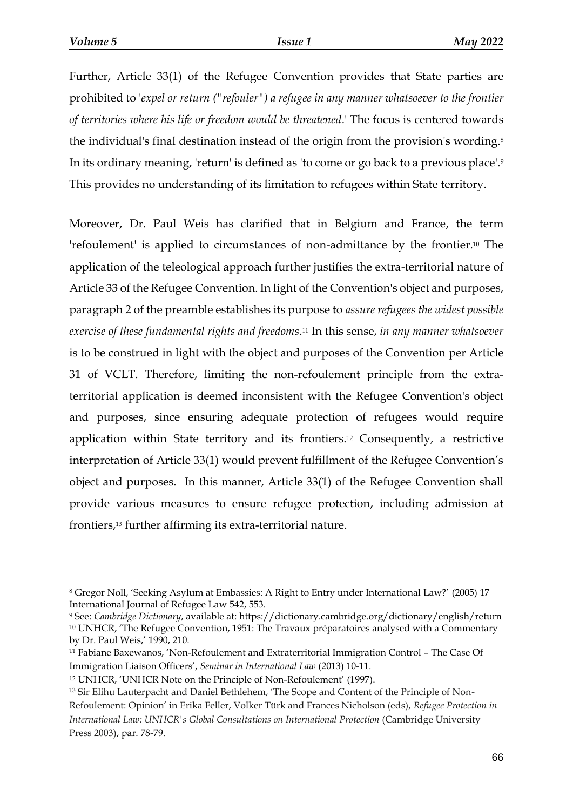Further, Article 33(1) of the Refugee Convention provides that State parties are prohibited to '*expel or return ("refouler") a refugee in any manner whatsoever to the frontier of territories where his life or freedom would be threatened*.' The focus is centered towards the individual's final destination instead of the origin from the provision's wording.<sup>8</sup> In its ordinary meaning, 'return' is defined as 'to come or go back to a previous place'. 9 This provides no understanding of its limitation to refugees within State territory.

Moreover, Dr. Paul Weis has clarified that in Belgium and France, the term 'refoulement' is applied to circumstances of non-admittance by the frontier.<sup>10</sup> The application of the teleological approach further justifies the extra-territorial nature of Article 33 of the Refugee Convention. In light of the Convention's object and purposes, paragraph 2 of the preamble establishes its purpose to *assure refugees the widest possible exercise of these fundamental rights and freedoms*. <sup>11</sup> In this sense, *in any manner whatsoever*  is to be construed in light with the object and purposes of the Convention per Article 31 of VCLT. Therefore, limiting the non-refoulement principle from the extraterritorial application is deemed inconsistent with the Refugee Convention's object and purposes, since ensuring adequate protection of refugees would require application within State territory and its frontiers.<sup>12</sup> Consequently, a restrictive interpretation of Article 33(1) would prevent fulfillment of the Refugee Convention's object and purposes. In this manner, Article 33(1) of the Refugee Convention shall provide various measures to ensure refugee protection, including admission at frontiers,<sup>13</sup> further affirming its extra-territorial nature.

<sup>8</sup> Gregor Noll, 'Seeking Asylum at Embassies: A Right to Entry under International Law?' (2005) 17 International Journal of Refugee Law 542, 553.

<sup>9</sup> See: *Cambridge Dictionary*, available at: https://dictionary.cambridge.org/dictionary/english/return <sup>10</sup> UNHCR, 'The Refugee Convention, 1951: The Travaux préparatoires analysed with a Commentary by Dr. Paul Weis,' 1990, 210.

<sup>11</sup> Fabiane Baxewanos, 'Non-Refoulement and Extraterritorial Immigration Control – The Case Of Immigration Liaison Officers', *Seminar in International Law* (2013) 10-11.

<sup>12</sup> UNHCR, 'UNHCR Note on the Principle of Non-Refoulement' (1997).

<sup>&</sup>lt;sup>13</sup> Sir Elihu Lauterpacht and Daniel Bethlehem, 'The Scope and Content of the Principle of Non-Refoulement: Opinion' in Erika Feller, Volker Türk and Frances Nicholson (eds), *Refugee Protection in International Law: UNHCR's Global Consultations on International Protection* (Cambridge University Press 2003), par. 78-79.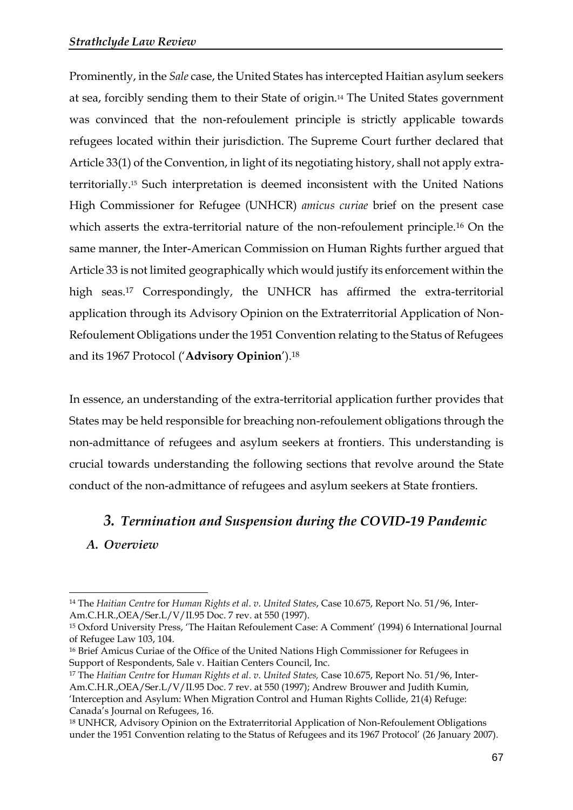Prominently, in the *Sale* case, the United States has intercepted Haitian asylum seekers at sea, forcibly sending them to their State of origin.<sup>14</sup> The United States government was convinced that the non-refoulement principle is strictly applicable towards refugees located within their jurisdiction. The Supreme Court further declared that Article 33(1) of the Convention, in light of its negotiating history, shall not apply extraterritorially.<sup>15</sup> Such interpretation is deemed inconsistent with the United Nations High Commissioner for Refugee (UNHCR) *amicus curiae* brief on the present case which asserts the extra-territorial nature of the non-refoulement principle.<sup>16</sup> On the same manner, the Inter-American Commission on Human Rights further argued that Article 33 is not limited geographically which would justify its enforcement within the high seas.<sup>17</sup> Correspondingly, the UNHCR has affirmed the extra-territorial application through its Advisory Opinion on the Extraterritorial Application of Non-Refoulement Obligations under the 1951 Convention relating to the Status of Refugees and its 1967 Protocol ('**Advisory Opinion**'). 18

In essence, an understanding of the extra-territorial application further provides that States may be held responsible for breaching non-refoulement obligations through the non-admittance of refugees and asylum seekers at frontiers. This understanding is crucial towards understanding the following sections that revolve around the State conduct of the non-admittance of refugees and asylum seekers at State frontiers.

# *3. Termination and Suspension during the COVID-19 Pandemic*

*A. Overview*

<sup>14</sup> The *Haitian Centre* for *Human Rights et al*. *v*. *United States*, Case 10.675, Report No. 51/96, Inter-Am.C.H.R.,OEA/Ser.L/V/II.95 Doc. 7 rev. at 550 (1997).

<sup>15</sup> Oxford University Press, 'The Haitan Refoulement Case: A Comment' (1994) 6 International Journal of Refugee Law 103, 104.

<sup>16</sup> Brief Amicus Curiae of the Office of the United Nations High Commissioner for Refugees in Support of Respondents, Sale v. Haitian Centers Council, Inc.

<sup>17</sup> The *Haitian Centre* for *Human Rights et al*. *v*. *United States,* Case 10.675, Report No. 51/96, Inter-Am.C.H.R.,OEA/Ser.L/V/II.95 Doc. 7 rev. at 550 (1997); Andrew Brouwer and Judith Kumin, 'Interception and Asylum: When Migration Control and Human Rights Collide, 21(4) Refuge: Canada's Journal on Refugees, 16.

<sup>18</sup> UNHCR, Advisory Opinion on the Extraterritorial Application of Non-Refoulement Obligations under the 1951 Convention relating to the Status of Refugees and its 1967 Protocol' (26 January 2007).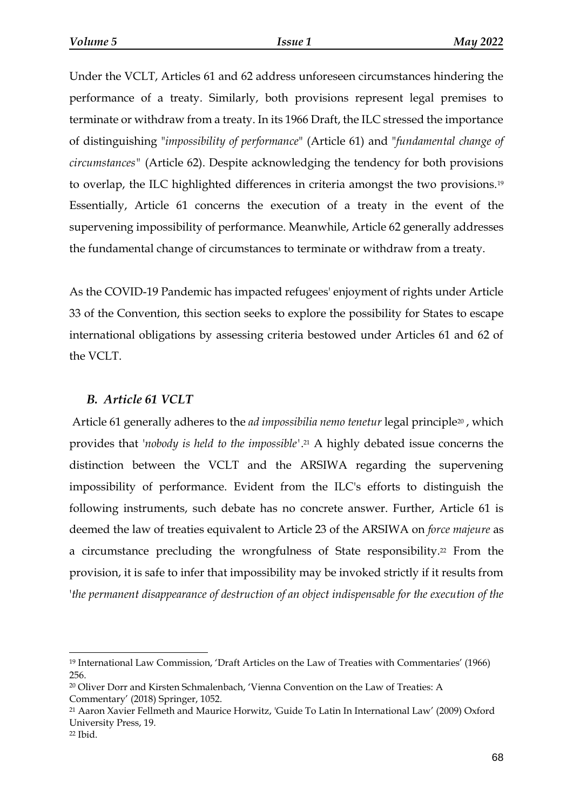Under the VCLT, Articles 61 and 62 address unforeseen circumstances hindering the performance of a treaty. Similarly, both provisions represent legal premises to terminate or withdraw from a treaty. In its 1966 Draft, the ILC stressed the importance of distinguishing "*impossibility of performance*" (Article 61) and "*fundamental change of circumstances"* (Article 62). Despite acknowledging the tendency for both provisions to overlap, the ILC highlighted differences in criteria amongst the two provisions.<sup>19</sup> Essentially, Article 61 concerns the execution of a treaty in the event of the supervening impossibility of performance. Meanwhile, Article 62 generally addresses the fundamental change of circumstances to terminate or withdraw from a treaty.

As the COVID-19 Pandemic has impacted refugees' enjoyment of rights under Article 33 of the Convention, this section seeks to explore the possibility for States to escape international obligations by assessing criteria bestowed under Articles 61 and 62 of the VCLT.

#### *B. Article 61 VCLT*

Article 61 generally adheres to the *ad impossibilia nemo tenetur* legal principle<sup>20</sup>, which provides that '*nobody is held to the impossible'*. <sup>21</sup> A highly debated issue concerns the distinction between the VCLT and the ARSIWA regarding the supervening impossibility of performance. Evident from the ILC's efforts to distinguish the following instruments, such debate has no concrete answer. Further, Article 61 is deemed the law of treaties equivalent to Article 23 of the ARSIWA on *force majeure* as a circumstance precluding the wrongfulness of State responsibility.<sup>22</sup> From the provision, it is safe to infer that impossibility may be invoked strictly if it results from '*the permanent disappearance of destruction of an object indispensable for the execution of the* 

<sup>19</sup> International Law Commission, 'Draft Articles on the Law of Treaties with Commentaries' (1966) 256.

<sup>20</sup> Oliver Dorr and Kirsten Schmalenbach, 'Vienna Convention on the Law of Treaties: A Commentary' (2018) Springer, 1052.

<sup>21</sup> Aaron Xavier Fellmeth and Maurice Horwitz, 'Guide To Latin In International Law' (2009) Oxford University Press, 19.

<sup>22</sup> Ibid.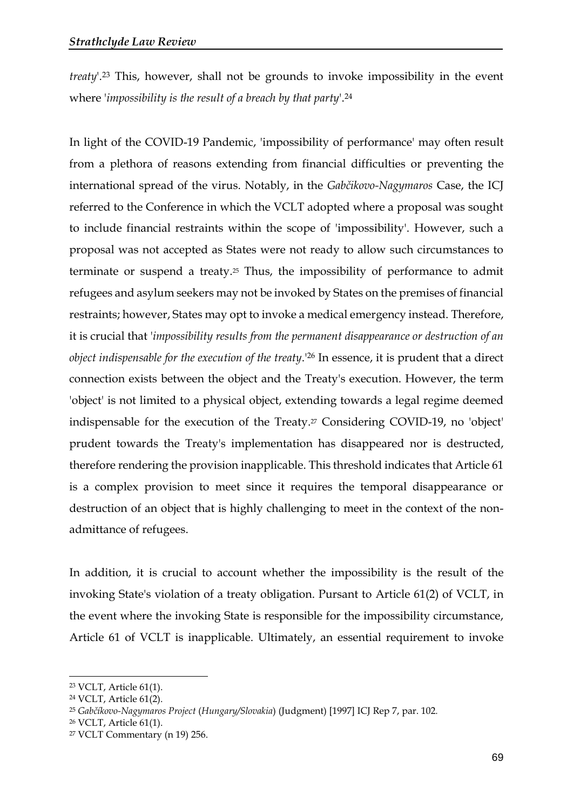*treaty*'. <sup>23</sup> This, however, shall not be grounds to invoke impossibility in the event where '*impossibility is the result of a breach by that party*'. 24

In light of the COVID-19 Pandemic, 'impossibility of performance' may often result from a plethora of reasons extending from financial difficulties or preventing the international spread of the virus. Notably, in the *Gabčikovo-Nagymaros* Case, the ICJ referred to the Conference in which the VCLT adopted where a proposal was sought to include financial restraints within the scope of 'impossibility'. However, such a proposal was not accepted as States were not ready to allow such circumstances to terminate or suspend a treaty.<sup>25</sup> Thus, the impossibility of performance to admit refugees and asylum seekers may not be invoked by States on the premises of financial restraints; however, States may opt to invoke a medical emergency instead. Therefore, it is crucial that '*impossibility results from the permanent disappearance or destruction of an object indispensable for the execution of the treaty*.'<sup>26</sup> In essence, it is prudent that a direct connection exists between the object and the Treaty's execution. However, the term 'object' is not limited to a physical object, extending towards a legal regime deemed indispensable for the execution of the Treaty.<sup>27</sup> Considering COVID-19, no 'object' prudent towards the Treaty's implementation has disappeared nor is destructed, therefore rendering the provision inapplicable. This threshold indicates that Article 61 is a complex provision to meet since it requires the temporal disappearance or destruction of an object that is highly challenging to meet in the context of the nonadmittance of refugees.

In addition, it is crucial to account whether the impossibility is the result of the invoking State's violation of a treaty obligation. Pursant to Article 61(2) of VCLT, in the event where the invoking State is responsible for the impossibility circumstance, Article 61 of VCLT is inapplicable. Ultimately, an essential requirement to invoke

<sup>23</sup> VCLT, Article 61(1).

<sup>24</sup> VCLT, Article 61(2).

<sup>25</sup> *Gabčíkovo-Nagymaros Project* (*Hungary/Slovakia*) (Judgment) [1997] ICJ Rep 7, par. 102*.*

<sup>26</sup> VCLT, Article 61(1).

<sup>27</sup> VCLT Commentary (n 19) 256.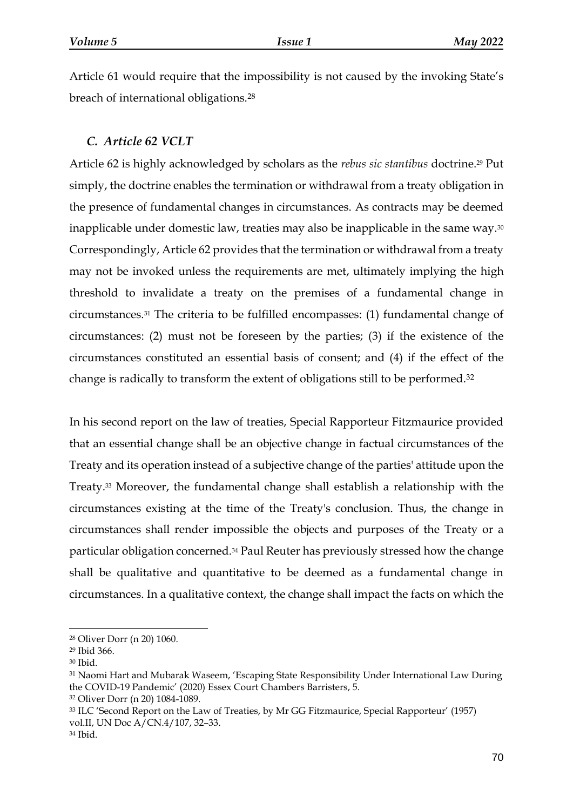Article 61 would require that the impossibility is not caused by the invoking State's breach of international obligations.<sup>28</sup>

## *C. Article 62 VCLT*

Article 62 is highly acknowledged by scholars as the *rebus sic stantibus* doctrine.<sup>29</sup> Put simply, the doctrine enables the termination or withdrawal from a treaty obligation in the presence of fundamental changes in circumstances. As contracts may be deemed inapplicable under domestic law, treaties may also be inapplicable in the same way.<sup>30</sup> Correspondingly, Article 62 provides that the termination or withdrawal from a treaty may not be invoked unless the requirements are met, ultimately implying the high threshold to invalidate a treaty on the premises of a fundamental change in circumstances.<sup>31</sup> The criteria to be fulfilled encompasses: (1) fundamental change of circumstances: (2) must not be foreseen by the parties; (3) if the existence of the circumstances constituted an essential basis of consent; and (4) if the effect of the change is radically to transform the extent of obligations still to be performed.<sup>32</sup>

In his second report on the law of treaties, Special Rapporteur Fitzmaurice provided that an essential change shall be an objective change in factual circumstances of the Treaty and its operation instead of a subjective change of the parties' attitude upon the Treaty.<sup>33</sup> Moreover, the fundamental change shall establish a relationship with the circumstances existing at the time of the Treaty's conclusion. Thus, the change in circumstances shall render impossible the objects and purposes of the Treaty or a particular obligation concerned.<sup>34</sup> Paul Reuter has previously stressed how the change shall be qualitative and quantitative to be deemed as a fundamental change in circumstances. In a qualitative context, the change shall impact the facts on which the

<sup>28</sup> Oliver Dorr (n 20) 1060.

<sup>29</sup> Ibid 366.

<sup>30</sup> Ibid.

<sup>31</sup> Naomi Hart and Mubarak Waseem, 'Escaping State Responsibility Under International Law During the COVID-19 Pandemic' (2020) Essex Court Chambers Barristers, 5.

<sup>32</sup> Oliver Dorr (n 20) 1084-1089.

<sup>33</sup> ILC 'Second Report on the Law of Treaties, by Mr GG Fitzmaurice, Special Rapporteur' (1957) vol.II, UN Doc A/CN.4/107, 32–33.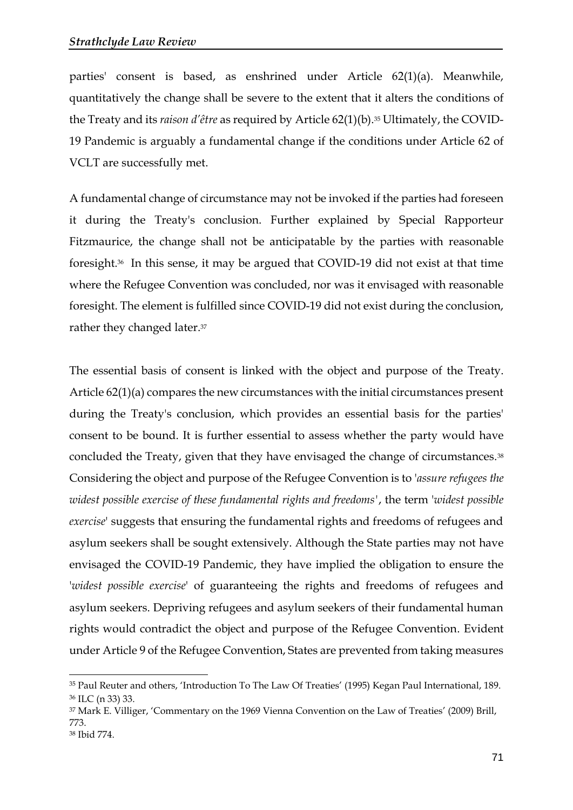parties' consent is based, as enshrined under Article 62(1)(a). Meanwhile, quantitatively the change shall be severe to the extent that it alters the conditions of the Treaty and its *raison d'être* as required by Article 62(1)(b).<sup>35</sup> Ultimately, the COVID-19 Pandemic is arguably a fundamental change if the conditions under Article 62 of VCLT are successfully met.

A fundamental change of circumstance may not be invoked if the parties had foreseen it during the Treaty's conclusion. Further explained by Special Rapporteur Fitzmaurice, the change shall not be anticipatable by the parties with reasonable foresight.<sup>36</sup> In this sense, it may be argued that COVID-19 did not exist at that time where the Refugee Convention was concluded, nor was it envisaged with reasonable foresight. The element is fulfilled since COVID-19 did not exist during the conclusion, rather they changed later.<sup>37</sup>

The essential basis of consent is linked with the object and purpose of the Treaty. Article 62(1)(a) compares the new circumstances with the initial circumstances present during the Treaty's conclusion, which provides an essential basis for the parties' consent to be bound. It is further essential to assess whether the party would have concluded the Treaty, given that they have envisaged the change of circumstances. 38 Considering the object and purpose of the Refugee Convention is to '*assure refugees the widest possible exercise of these fundamental rights and freedoms'*, the term '*widest possible exercise*' suggests that ensuring the fundamental rights and freedoms of refugees and asylum seekers shall be sought extensively. Although the State parties may not have envisaged the COVID-19 Pandemic, they have implied the obligation to ensure the '*widest possible exercise*' of guaranteeing the rights and freedoms of refugees and asylum seekers. Depriving refugees and asylum seekers of their fundamental human rights would contradict the object and purpose of the Refugee Convention. Evident under Article 9 of the Refugee Convention, States are prevented from taking measures

<sup>35</sup> Paul Reuter and others, 'Introduction To The Law Of Treaties' (1995) Kegan Paul International, 189. <sup>36</sup> ILC (n 33) 33.

<sup>37</sup> Mark E. Villiger, 'Commentary on the 1969 Vienna Convention on the Law of Treaties' (2009) Brill, 773.

<sup>38</sup> Ibid 774.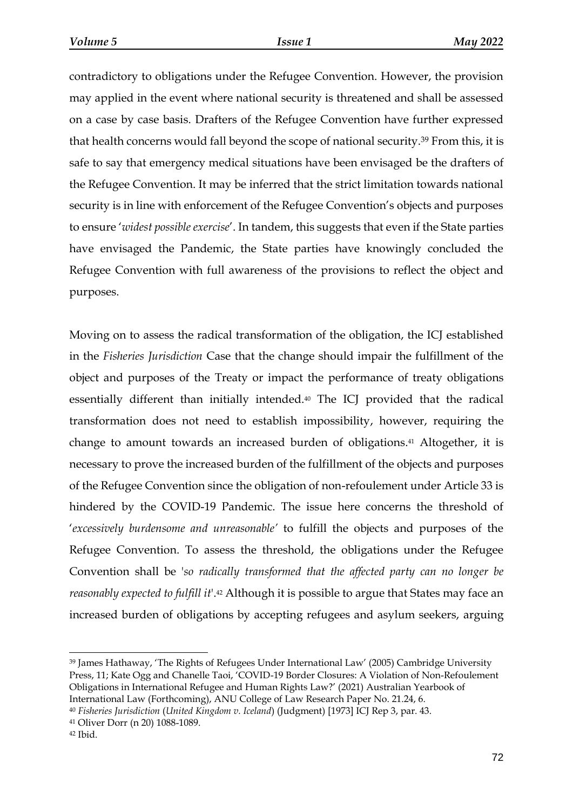contradictory to obligations under the Refugee Convention. However, the provision may applied in the event where national security is threatened and shall be assessed on a case by case basis. Drafters of the Refugee Convention have further expressed that health concerns would fall beyond the scope of national security.<sup>39</sup> From this, it is safe to say that emergency medical situations have been envisaged be the drafters of the Refugee Convention. It may be inferred that the strict limitation towards national security is in line with enforcement of the Refugee Convention's objects and purposes to ensure '*widest possible exercise*'. In tandem, this suggests that even if the State parties have envisaged the Pandemic, the State parties have knowingly concluded the Refugee Convention with full awareness of the provisions to reflect the object and purposes.

Moving on to assess the radical transformation of the obligation, the ICJ established in the *Fisheries Jurisdiction* Case that the change should impair the fulfillment of the object and purposes of the Treaty or impact the performance of treaty obligations essentially different than initially intended.<sup>40</sup> The ICJ provided that the radical transformation does not need to establish impossibility, however, requiring the change to amount towards an increased burden of obligations. <sup>41</sup> Altogether, it is necessary to prove the increased burden of the fulfillment of the objects and purposes of the Refugee Convention since the obligation of non-refoulement under Article 33 is hindered by the COVID-19 Pandemic. The issue here concerns the threshold of '*excessively burdensome and unreasonable'* to fulfill the objects and purposes of the Refugee Convention. To assess the threshold, the obligations under the Refugee Convention shall be '*so radically transformed that the affected party can no longer be reasonably expected to fulfill it*'. <sup>42</sup> Although it is possible to argue that States may face an increased burden of obligations by accepting refugees and asylum seekers, arguing

<sup>39</sup> James Hathaway, 'The Rights of Refugees Under International Law' (2005) Cambridge University Press, 11; Kate Ogg and Chanelle Taoi, 'COVID-19 Border Closures: A Violation of Non-Refoulement Obligations in International Refugee and Human Rights Law?' (2021) Australian Yearbook of International Law (Forthcoming), ANU College of Law Research Paper No. 21.24, 6.

<sup>40</sup> *Fisheries Jurisdiction* (*United Kingdom v. Iceland*) (Judgment) [1973] ICJ Rep 3, par. 43.

<sup>41</sup> Oliver Dorr (n 20) 1088-1089.

<sup>42</sup> Ibid.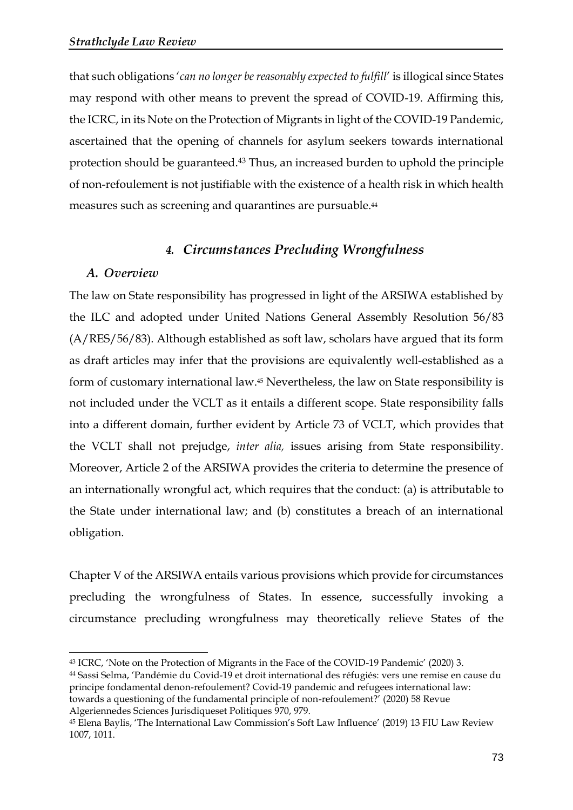that such obligations '*can no longer be reasonably expected to fulfill*' is illogical since States may respond with other means to prevent the spread of COVID-19. Affirming this, the ICRC, in its Note on the Protection of Migrants in light of the COVID-19 Pandemic, ascertained that the opening of channels for asylum seekers towards international protection should be guaranteed. <sup>43</sup> Thus, an increased burden to uphold the principle of non-refoulement is not justifiable with the existence of a health risk in which health measures such as screening and quarantines are pursuable. 44

## *4. Circumstances Precluding Wrongfulness*

### *A. Overview*

The law on State responsibility has progressed in light of the ARSIWA established by the ILC and adopted under United Nations General Assembly Resolution 56/83 (A/RES/56/83). Although established as soft law, scholars have argued that its form as draft articles may infer that the provisions are equivalently well-established as a form of customary international law. <sup>45</sup> Nevertheless, the law on State responsibility is not included under the VCLT as it entails a different scope. State responsibility falls into a different domain, further evident by Article 73 of VCLT, which provides that the VCLT shall not prejudge, *inter alia,* issues arising from State responsibility. Moreover, Article 2 of the ARSIWA provides the criteria to determine the presence of an internationally wrongful act, which requires that the conduct: (a) is attributable to the State under international law; and (b) constitutes a breach of an international obligation.

Chapter V of the ARSIWA entails various provisions which provide for circumstances precluding the wrongfulness of States. In essence, successfully invoking a circumstance precluding wrongfulness may theoretically relieve States of the

<sup>43</sup> ICRC, 'Note on the Protection of Migrants in the Face of the COVID-19 Pandemic' (2020) 3. <sup>44</sup> Sassi Selma, 'Pandémie du Covid-19 et droit international des réfugiés: vers une remise en cause du principe fondamental denon-refoulement? Covid-19 pandemic and refugees international law: towards a questioning of the fundamental principle of non-refoulement?' (2020) 58 Revue Algeriennedes Sciences Jurisdiqueset Politiques 970, 979.

<sup>45</sup> Elena Baylis, 'The International Law Commission's Soft Law Influence' (2019) 13 FIU Law Review 1007, 1011.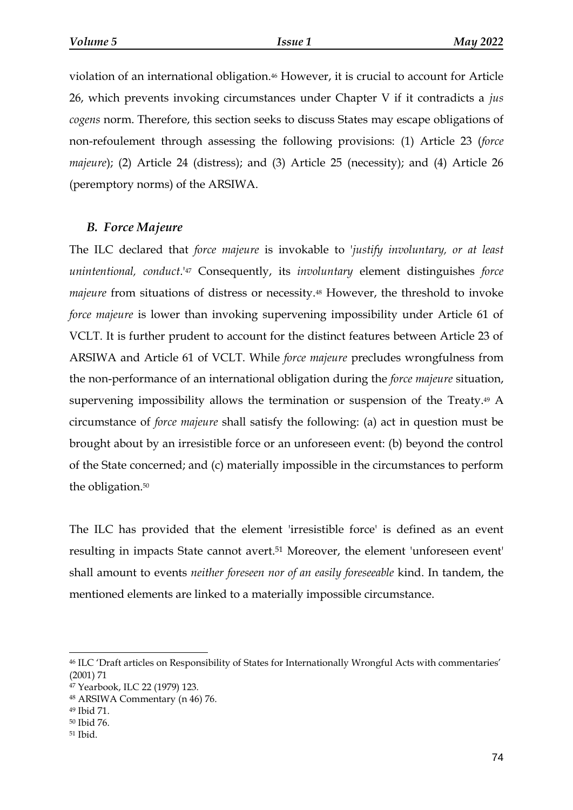violation of an international obligation.<sup>46</sup> However, it is crucial to account for Article 26, which prevents invoking circumstances under Chapter V if it contradicts a *jus cogens* norm. Therefore, this section seeks to discuss States may escape obligations of non-refoulement through assessing the following provisions: (1) Article 23 (*force majeure*); (2) Article 24 (distress); and (3) Article 25 (necessity); and (4) Article 26 (peremptory norms) of the ARSIWA.

#### *B. Force Majeure*

The ILC declared that *force majeure* is invokable to '*justify involuntary, or at least unintentional, conduct*.' <sup>47</sup> Consequently, its *involuntary* element distinguishes *force majeure* from situations of distress or necessity.<sup>48</sup> However, the threshold to invoke *force majeure* is lower than invoking supervening impossibility under Article 61 of VCLT. It is further prudent to account for the distinct features between Article 23 of ARSIWA and Article 61 of VCLT. While *force majeure* precludes wrongfulness from the non-performance of an international obligation during the *force majeure* situation, supervening impossibility allows the termination or suspension of the Treaty.<sup>49</sup> A circumstance of *force majeure* shall satisfy the following: (a) act in question must be brought about by an irresistible force or an unforeseen event: (b) beyond the control of the State concerned; and (c) materially impossible in the circumstances to perform the obligation.<sup>50</sup>

The ILC has provided that the element 'irresistible force' is defined as an event resulting in impacts State cannot avert.<sup>51</sup> Moreover, the element 'unforeseen event' shall amount to events *neither foreseen nor of an easily foreseeable* kind. In tandem, the mentioned elements are linked to a materially impossible circumstance.

<sup>46</sup> ILC 'Draft articles on Responsibility of States for Internationally Wrongful Acts with commentaries' (2001) 71

<sup>47</sup> Yearbook, ILC 22 (1979) 123.

<sup>48</sup> ARSIWA Commentary (n 46) 76.

<sup>49</sup> Ibid 71.

<sup>50</sup> Ibid 76.

<sup>51</sup> Ibid.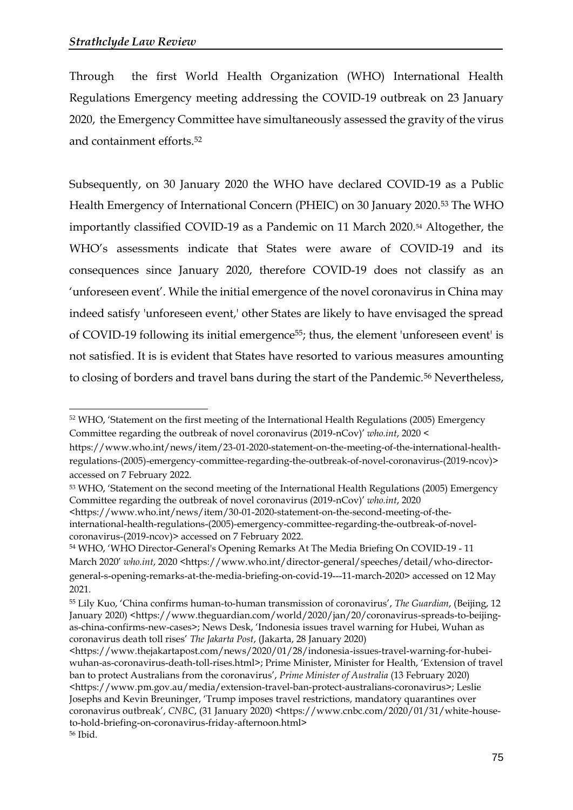Through the first World Health Organization (WHO) International Health Regulations Emergency meeting addressing the COVID-19 outbreak on 23 January 2020, the Emergency Committee have simultaneously assessed the gravity of the virus and containment efforts.<sup>52</sup>

Subsequently, on 30 January 2020 the WHO have declared COVID-19 as a Public Health Emergency of International Concern (PHEIC) on 30 January 2020.<sup>53</sup> The WHO importantly classified COVID-19 as a Pandemic on 11 March 2020.<sup>54</sup> Altogether, the WHO's assessments indicate that States were aware of COVID-19 and its consequences since January 2020, therefore COVID-19 does not classify as an 'unforeseen event'. While the initial emergence of the novel coronavirus in China may indeed satisfy 'unforeseen event,' other States are likely to have envisaged the spread of COVID-19 following its initial emergence<sup>55</sup>; thus, the element 'unforeseen event' is not satisfied. It is is evident that States have resorted to various measures amounting to closing of borders and travel bans during the start of the Pandemic.<sup>56</sup> Nevertheless,

<sup>&</sup>lt;sup>52</sup> WHO, 'Statement on the first meeting of the International Health Regulations (2005) Emergency Committee regarding the outbreak of novel coronavirus (2019-nCov)' *who.int*, 2020 <

https://www.who.int/news/item/23-01-2020-statement-on-the-meeting-of-the-international-healthregulations-(2005)-emergency-committee-regarding-the-outbreak-of-novel-coronavirus-(2019-ncov)> accessed on 7 February 2022.

<sup>53</sup> WHO, 'Statement on the second meeting of the International Health Regulations (2005) Emergency Committee regarding the outbreak of novel coronavirus (2019-nCov)' *who.int*, 2020

<sup>&</sup>lt;https://www.who.int/news/item/30-01-2020-statement-on-the-second-meeting-of-theinternational-health-regulations-(2005)-emergency-committee-regarding-the-outbreak-of-novelcoronavirus-(2019-ncov)> accessed on 7 February 2022.

<sup>54</sup> WHO, 'WHO Director-General's Opening Remarks At The Media Briefing On COVID-19 - 11 March 2020' *who.int*, 2020 <https://www.who.int/director-general/speeches/detail/who-directorgeneral-s-opening-remarks-at-the-media-briefing-on-covid-19---11-march-2020> accessed on 12 May 2021.

<sup>55</sup> Lily Kuo, 'China confirms human-to-human transmission of coronavirus', *The Guardian*, (Beijing, 12 January 2020) <https://www.theguardian.com/world/2020/jan/20/coronavirus-spreads-to-beijingas-china-confirms-new-cases>; News Desk, 'Indonesia issues travel warning for Hubei, Wuhan as coronavirus death toll rises' *The Jakarta Post*, (Jakarta, 28 January 2020)

<sup>&</sup>lt;https://www.thejakartapost.com/news/2020/01/28/indonesia-issues-travel-warning-for-hubeiwuhan-as-coronavirus-death-toll-rises.html>; Prime Minister, Minister for Health, 'Extension of travel ban to protect Australians from the coronavirus', *Prime Minister of Australia* (13 February 2020) [<https://www.pm.gov.au/media/extension-travel-ban-protect-australians-coronavirus>](https://www.pm.gov.au/media/extension-travel-ban-protect-australians-coronavirus); Leslie Josephs and Kevin Breuninger, 'Trump imposes travel restrictions, mandatory quarantines over coronavirus outbreak', *CNBC*, (31 January 2020) <https://www.cnbc.com/2020/01/31/white-houseto-hold-briefing-on-coronavirus-friday-afternoon.html> <sup>56</sup> Ibid.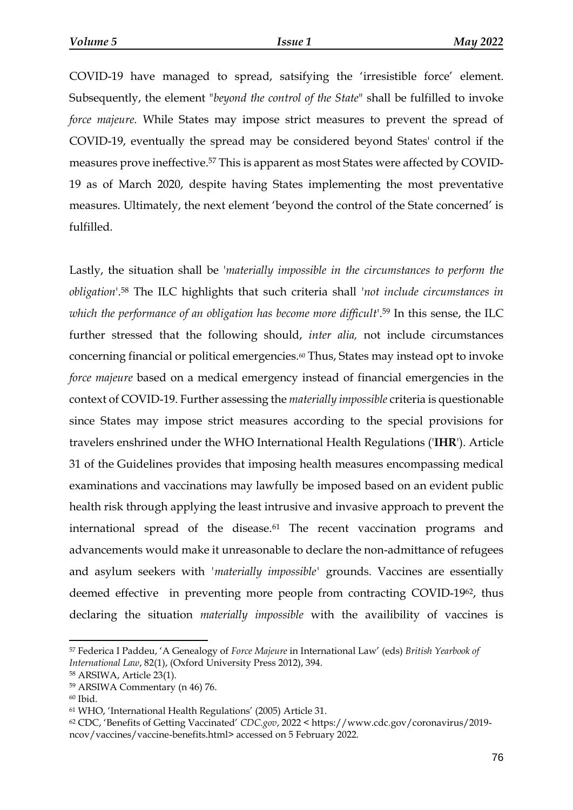COVID-19 have managed to spread, satsifying the 'irresistible force' element. Subsequently, the element "*beyond the control of the State*" shall be fulfilled to invoke *force majeure.* While States may impose strict measures to prevent the spread of COVID-19, eventually the spread may be considered beyond States' control if the measures prove ineffective. <sup>57</sup> This is apparent as most States were affected by COVID-19 as of March 2020, despite having States implementing the most preventative measures. Ultimately, the next element 'beyond the control of the State concerned' is fulfilled.

Lastly, the situation shall be '*materially impossible in the circumstances to perform the obligation*'. <sup>58</sup> The ILC highlights that such criteria shall '*not include circumstances in which the performance of an obligation has become more difficult*'. <sup>59</sup> In this sense, the ILC further stressed that the following should, *inter alia,* not include circumstances concerning financial or political emergencies.<sup>60</sup> Thus, States may instead opt to invoke *force majeure* based on a medical emergency instead of financial emergencies in the context of COVID-19. Further assessing the *materially impossible* criteria is questionable since States may impose strict measures according to the special provisions for travelers enshrined under the WHO International Health Regulations ('**IHR**'). Article 31 of the Guidelines provides that imposing health measures encompassing medical examinations and vaccinations may lawfully be imposed based on an evident public health risk through applying the least intrusive and invasive approach to prevent the international spread of the disease.<sup>61</sup> The recent vaccination programs and advancements would make it unreasonable to declare the non-admittance of refugees and asylum seekers with *'materially impossible'* grounds. Vaccines are essentially deemed effective in preventing more people from contracting COVID-1962, thus declaring the situation *materially impossible* with the availibility of vaccines is

<sup>57</sup> Federica I Paddeu, 'A Genealogy of *Force Majeure* in International Law' (eds) *British Yearbook of International Law*, 82(1), (Oxford University Press 2012), 394.

<sup>58</sup> ARSIWA, Article 23(1).

<sup>59</sup> ARSIWA Commentary (n 46) 76.

<sup>60</sup> Ibid.

<sup>61</sup> WHO, 'International Health Regulations' (2005) Article 31.

<sup>62</sup> CDC, 'Benefits of Getting Vaccinated' *CDC.gov*, 2022 < [https://www.cdc.gov/coronavirus/2019](https://www.cdc.gov/coronavirus/2019-ncov/vaccines/vaccine-benefits.html) [ncov/vaccines/vaccine-benefits.html>](https://www.cdc.gov/coronavirus/2019-ncov/vaccines/vaccine-benefits.html) accessed on 5 February 2022.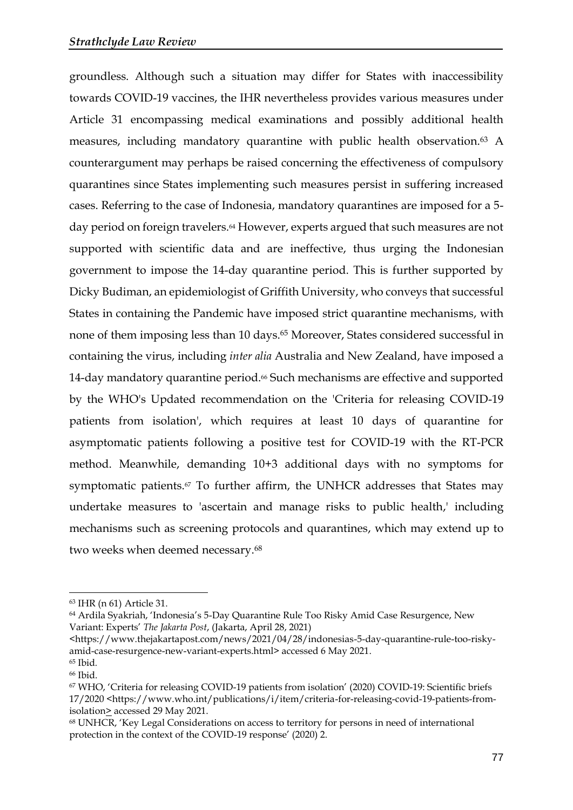groundless. Although such a situation may differ for States with inaccessibility towards COVID-19 vaccines, the IHR nevertheless provides various measures under Article 31 encompassing medical examinations and possibly additional health measures, including mandatory quarantine with public health observation.<sup>63</sup> A counterargument may perhaps be raised concerning the effectiveness of compulsory quarantines since States implementing such measures persist in suffering increased cases. Referring to the case of Indonesia, mandatory quarantines are imposed for a 5 day period on foreign travelers.<sup>64</sup> However, experts argued that such measures are not supported with scientific data and are ineffective, thus urging the Indonesian government to impose the 14-day quarantine period. This is further supported by Dicky Budiman, an epidemiologist of Griffith University, who conveys that successful States in containing the Pandemic have imposed strict quarantine mechanisms, with none of them imposing less than 10 days. <sup>65</sup> Moreover, States considered successful in containing the virus, including *inter alia* Australia and New Zealand, have imposed a 14-day mandatory quarantine period.<sup>66</sup> Such mechanisms are effective and supported by the WHO's Updated recommendation on the 'Criteria for releasing COVID-19 patients from isolation', which requires at least 10 days of quarantine for asymptomatic patients following a positive test for COVID-19 with the RT-PCR method. Meanwhile, demanding 10+3 additional days with no symptoms for symptomatic patients.<sup>67</sup> To further affirm, the UNHCR addresses that States may undertake measures to 'ascertain and manage risks to public health,' including mechanisms such as screening protocols and quarantines, which may extend up to two weeks when deemed necessary.<sup>68</sup>

<sup>63</sup> IHR (n 61) Article 31.

<sup>64</sup> Ardila Syakriah, 'Indonesia's 5-Day Quarantine Rule Too Risky Amid Case Resurgence, New Variant: Experts' *The Jakarta Post*, (Jakarta, April 28, 2021)

[<sup>&</sup>lt;https://www.thejakartapost.com/news/2021/04/28/indonesias-5-day-quarantine-rule-too-risky](https://www.thejakartapost.com/news/2021/04/28/indonesias-5-day-quarantine-rule-too-risky-amid-case-resurgence-new-variant-experts.html)[amid-case-resurgence-new-variant-experts.html>](https://www.thejakartapost.com/news/2021/04/28/indonesias-5-day-quarantine-rule-too-risky-amid-case-resurgence-new-variant-experts.html) accessed 6 May 2021.

<sup>65</sup> Ibid*.*

<sup>66</sup> Ibid.

<sup>67</sup> WHO, 'Criteria for releasing COVID-19 patients from isolation' (2020) COVID-19: Scientific briefs 17/2020 <https://www.who.int/publications/i/item/criteria-for-releasing-covid-19-patients-fromisolation> accessed 29 May 2021.

<sup>68</sup> UNHCR, 'Key Legal Considerations on access to territory for persons in need of international protection in the context of the COVID-19 response' (2020) 2.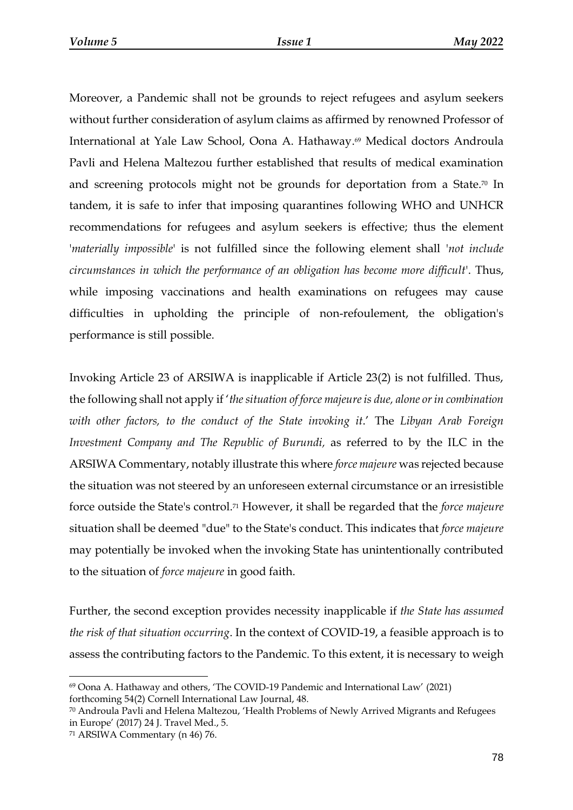Moreover, a Pandemic shall not be grounds to reject refugees and asylum seekers without further consideration of asylum claims as affirmed by renowned Professor of International at Yale Law School, Oona A. Hathaway. <sup>69</sup> Medical doctors Androula Pavli and Helena Maltezou further established that results of medical examination and screening protocols might not be grounds for deportation from a State. <sup>70</sup> In tandem, it is safe to infer that imposing quarantines following WHO and UNHCR recommendations for refugees and asylum seekers is effective; thus the element '*materially impossible*' is not fulfilled since the following element shall '*not include circumstances in which the performance of an obligation has become more difficult*'. Thus, while imposing vaccinations and health examinations on refugees may cause difficulties in upholding the principle of non-refoulement, the obligation's performance is still possible.

Invoking Article 23 of ARSIWA is inapplicable if Article 23(2) is not fulfilled. Thus, the following shall not apply if '*the situation of force majeure is due, alone or in combination with other factors, to the conduct of the State invoking it*.' The *Libyan Arab Foreign Investment Company and The Republic of Burundi,* as referred to by the ILC in the ARSIWA Commentary, notably illustrate this where *force majeure* was rejected because the situation was not steered by an unforeseen external circumstance or an irresistible force outside the State's control.<sup>71</sup> However, it shall be regarded that the *force majeure*  situation shall be deemed "due" to the State's conduct. This indicates that *force majeure* may potentially be invoked when the invoking State has unintentionally contributed to the situation of *force majeure* in good faith.

Further, the second exception provides necessity inapplicable if *the State has assumed the risk of that situation occurring*. In the context of COVID-19, a feasible approach is to assess the contributing factors to the Pandemic. To this extent, it is necessary to weigh

<sup>69</sup> Oona A. Hathaway and others, 'The COVID-19 Pandemic and International Law' (2021) forthcoming 54(2) Cornell International Law Journal, 48.

<sup>70</sup> Androula Pavli and Helena Maltezou, 'Health Problems of Newly Arrived Migrants and Refugees in Europe' (2017) 24 J. Travel Med., 5.

<sup>71</sup> ARSIWA Commentary (n 46) 76.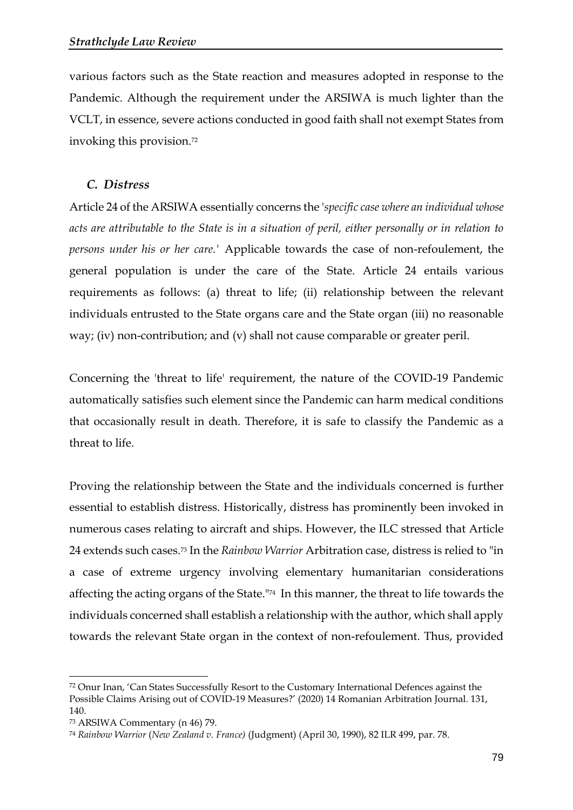various factors such as the State reaction and measures adopted in response to the Pandemic. Although the requirement under the ARSIWA is much lighter than the VCLT, in essence, severe actions conducted in good faith shall not exempt States from invoking this provision.<sup>72</sup>

#### *C. Distress*

Article 24 of the ARSIWA essentially concerns the '*specific case where an individual whose acts are attributable to the State is in a situation of peril, either personally or in relation to persons under his or her care.'* Applicable towards the case of non-refoulement, the general population is under the care of the State. Article 24 entails various requirements as follows: (a) threat to life; (ii) relationship between the relevant individuals entrusted to the State organs care and the State organ (iii) no reasonable way; (iv) non-contribution; and (v) shall not cause comparable or greater peril.

Concerning the 'threat to life' requirement, the nature of the COVID-19 Pandemic automatically satisfies such element since the Pandemic can harm medical conditions that occasionally result in death. Therefore, it is safe to classify the Pandemic as a threat to life.

Proving the relationship between the State and the individuals concerned is further essential to establish distress. Historically, distress has prominently been invoked in numerous cases relating to aircraft and ships. However, the ILC stressed that Article 24 extends such cases. <sup>73</sup> In the *Rainbow Warrior* Arbitration case, distress is relied to "in a case of extreme urgency involving elementary humanitarian considerations affecting the acting organs of the State."<sup>74</sup> In this manner, the threat to life towards the individuals concerned shall establish a relationship with the author, which shall apply towards the relevant State organ in the context of non-refoulement. Thus, provided

<sup>72</sup> Onur Inan, 'Can States Successfully Resort to the Customary International Defences against the Possible Claims Arising out of COVID-19 Measures?' (2020) 14 Romanian Arbitration Journal. 131, 140.

<sup>73</sup> ARSIWA Commentary (n 46) 79.

<sup>74</sup> *Rainbow Warrior* (*New Zealand v. France)* (Judgment) (April 30, 1990), 82 ILR 499, par. 78.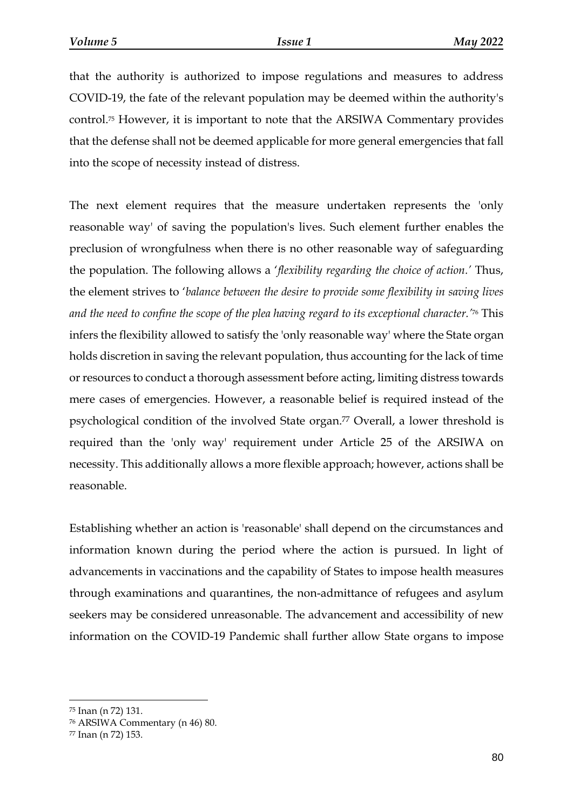that the authority is authorized to impose regulations and measures to address COVID-19, the fate of the relevant population may be deemed within the authority's control.<sup>75</sup> However, it is important to note that the ARSIWA Commentary provides that the defense shall not be deemed applicable for more general emergencies that fall into the scope of necessity instead of distress.

The next element requires that the measure undertaken represents the 'only reasonable way' of saving the population's lives. Such element further enables the preclusion of wrongfulness when there is no other reasonable way of safeguarding the population. The following allows a '*flexibility regarding the choice of action.'* Thus, the element strives to '*balance between the desire to provide some flexibility in saving lives and the need to confine the scope of the plea having regard to its exceptional character.'* <sup>76</sup> This infers the flexibility allowed to satisfy the 'only reasonable way' where the State organ holds discretion in saving the relevant population, thus accounting for the lack of time or resources to conduct a thorough assessment before acting, limiting distress towards mere cases of emergencies. However, a reasonable belief is required instead of the psychological condition of the involved State organ.<sup>77</sup> Overall, a lower threshold is required than the 'only way' requirement under Article 25 of the ARSIWA on necessity. This additionally allows a more flexible approach; however, actions shall be reasonable.

Establishing whether an action is 'reasonable' shall depend on the circumstances and information known during the period where the action is pursued. In light of advancements in vaccinations and the capability of States to impose health measures through examinations and quarantines, the non-admittance of refugees and asylum seekers may be considered unreasonable. The advancement and accessibility of new information on the COVID-19 Pandemic shall further allow State organs to impose

<sup>75</sup> Inan (n 72) 131.

<sup>76</sup> ARSIWA Commentary (n 46) 80.

<sup>77</sup> Inan (n 72) 153.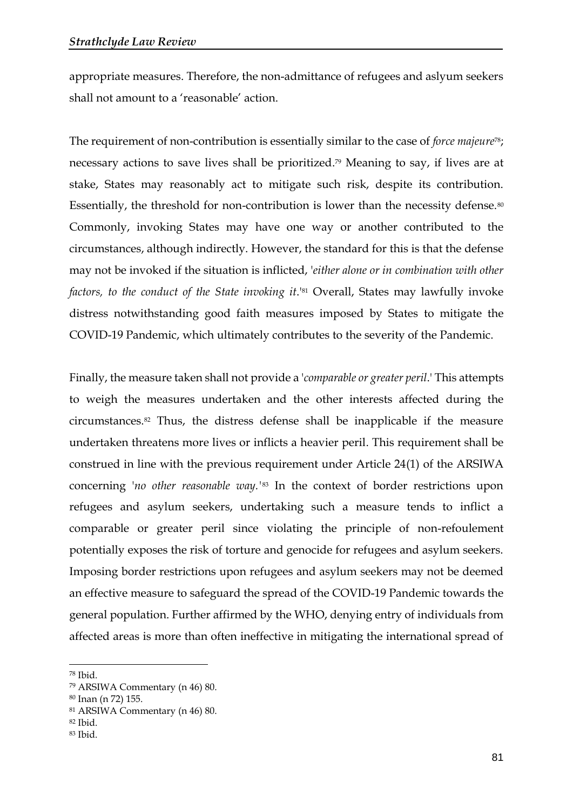appropriate measures. Therefore, the non-admittance of refugees and aslyum seekers shall not amount to a 'reasonable' action.

The requirement of non-contribution is essentially similar to the case of *force majeure*78; necessary actions to save lives shall be prioritized. <sup>79</sup> Meaning to say, if lives are at stake, States may reasonably act to mitigate such risk, despite its contribution. Essentially, the threshold for non-contribution is lower than the necessity defense.<sup>80</sup> Commonly, invoking States may have one way or another contributed to the circumstances, although indirectly. However, the standard for this is that the defense may not be invoked if the situation is inflicted, '*either alone or in combination with other factors, to the conduct of the State invoking it*.'<sup>81</sup> Overall, States may lawfully invoke distress notwithstanding good faith measures imposed by States to mitigate the COVID-19 Pandemic, which ultimately contributes to the severity of the Pandemic.

Finally, the measure taken shall not provide a '*comparable or greater peril*.' This attempts to weigh the measures undertaken and the other interests affected during the circumstances.<sup>82</sup> Thus, the distress defense shall be inapplicable if the measure undertaken threatens more lives or inflicts a heavier peril. This requirement shall be construed in line with the previous requirement under Article 24(1) of the ARSIWA concerning '*no other reasonable way.'*<sup>83</sup> In the context of border restrictions upon refugees and asylum seekers, undertaking such a measure tends to inflict a comparable or greater peril since violating the principle of non-refoulement potentially exposes the risk of torture and genocide for refugees and asylum seekers. Imposing border restrictions upon refugees and asylum seekers may not be deemed an effective measure to safeguard the spread of the COVID-19 Pandemic towards the general population. Further affirmed by the WHO, denying entry of individuals from affected areas is more than often ineffective in mitigating the international spread of

<sup>78</sup> Ibid.

<sup>79</sup> ARSIWA Commentary (n 46) 80.

<sup>80</sup> Inan (n 72) 155.

<sup>81</sup> ARSIWA Commentary (n 46) 80.

<sup>82</sup> Ibid.

<sup>83</sup> Ibid.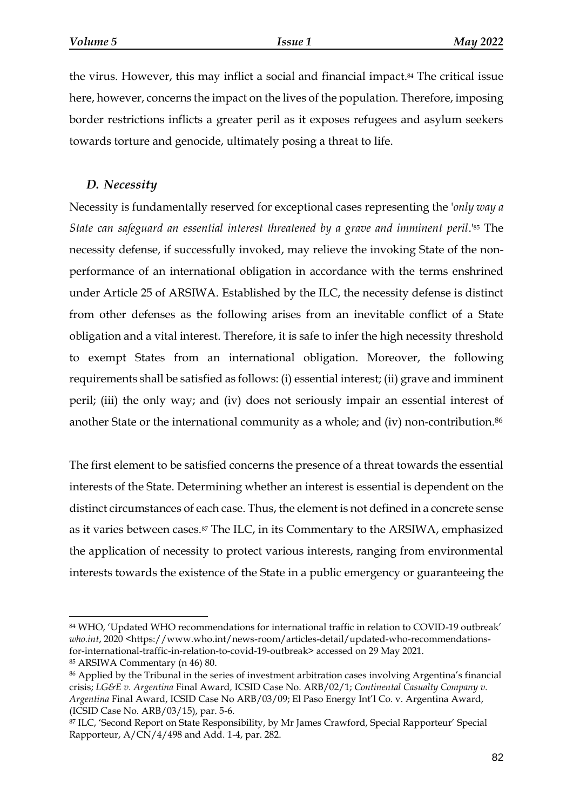the virus. However, this may inflict a social and financial impact.<sup>84</sup> The critical issue here, however, concerns the impact on the lives of the population. Therefore, imposing border restrictions inflicts a greater peril as it exposes refugees and asylum seekers towards torture and genocide, ultimately posing a threat to life.

## *D. Necessity*

Necessity is fundamentally reserved for exceptional cases representing the '*only way a State can safeguard an essential interest threatened by a grave and imminent peril*.'<sup>85</sup> The necessity defense, if successfully invoked, may relieve the invoking State of the nonperformance of an international obligation in accordance with the terms enshrined under Article 25 of ARSIWA. Established by the ILC, the necessity defense is distinct from other defenses as the following arises from an inevitable conflict of a State obligation and a vital interest. Therefore, it is safe to infer the high necessity threshold to exempt States from an international obligation. Moreover, the following requirements shall be satisfied as follows: (i) essential interest; (ii) grave and imminent peril; (iii) the only way; and (iv) does not seriously impair an essential interest of another State or the international community as a whole; and (iv) non-contribution.<sup>86</sup>

The first element to be satisfied concerns the presence of a threat towards the essential interests of the State. Determining whether an interest is essential is dependent on the distinct circumstances of each case. Thus, the element is not defined in a concrete sense as it varies between cases.<sup>87</sup> The ILC, in its Commentary to the ARSIWA, emphasized the application of necessity to protect various interests, ranging from environmental interests towards the existence of the State in a public emergency or guaranteeing the

<sup>84</sup> WHO, 'Updated WHO recommendations for international traffic in relation to COVID-19 outbreak' *who.int*, 2020 [<https://www.who.int/news-room/articles-detail/updated-who-recommendations](https://www.who.int/news-room/articles-detail/updated-who-recommendations-for-international-traffic-in-relation-to-covid-19-outbreak)[for-international-traffic-in-relation-to-covid-19-outbreak>](https://www.who.int/news-room/articles-detail/updated-who-recommendations-for-international-traffic-in-relation-to-covid-19-outbreak) accessed on 29 May 2021.

<sup>85</sup> ARSIWA Commentary (n 46) 80.

<sup>86</sup> Applied by the Tribunal in the series of investment arbitration cases involving Argentina's financial crisis; *LG&E v. Argentina* Final Award*,* ICSID Case No. ARB/02/1; *Continental Casualty Company v. Argentina* Final Award, ICSID Case No ARB/03/09; El Paso Energy Int'l Co. v. Argentina Award, (ICSID Case No. ARB/03/15), par. 5-6.

<sup>87</sup> ILC, 'Second Report on State Responsibility, by Mr James Crawford, Special Rapporteur' Special Rapporteur, A/CN/4/498 and Add. 1-4, par. 282.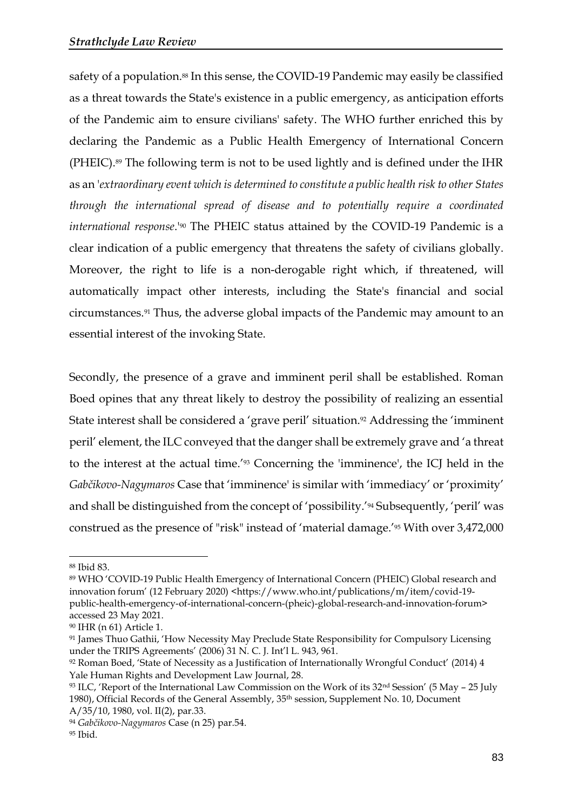safety of a population.<sup>88</sup> In this sense, the COVID-19 Pandemic may easily be classified as a threat towards the State's existence in a public emergency, as anticipation efforts of the Pandemic aim to ensure civilians' safety. The WHO further enriched this by declaring the Pandemic as a Public Health Emergency of International Concern (PHEIC).<sup>89</sup> The following term is not to be used lightly and is defined under the IHR as an '*extraordinary event which is determined to constitute a public health risk to other States through the international spread of disease and to potentially require a coordinated international response*.'<sup>90</sup> The PHEIC status attained by the COVID-19 Pandemic is a clear indication of a public emergency that threatens the safety of civilians globally. Moreover, the right to life is a non-derogable right which, if threatened, will automatically impact other interests, including the State's financial and social circumstances.<sup>91</sup> Thus, the adverse global impacts of the Pandemic may amount to an essential interest of the invoking State.

Secondly, the presence of a grave and imminent peril shall be established. Roman Boed opines that any threat likely to destroy the possibility of realizing an essential State interest shall be considered a 'grave peril' situation. <sup>92</sup> Addressing the 'imminent peril' element, the ILC conveyed that the danger shall be extremely grave and 'a threat to the interest at the actual time.'<sup>93</sup> Concerning the 'imminence', the ICJ held in the *Gabčikovo-Nagymaros* Case that 'imminence' is similar with 'immediacy' or 'proximity' and shall be distinguished from the concept of 'possibility.'<sup>94</sup> Subsequently, 'peril' was construed as the presence of "risk" instead of 'material damage.'<sup>95</sup> With over 3,472,000

<sup>88</sup> Ibid 83.

<sup>89</sup> WHO 'COVID-19 Public Health Emergency of International Concern (PHEIC) Global research and innovation forum' (12 February 2020) [<https://www.who.int/publications/m/item/covid-19](https://www.who.int/publications/m/item/covid-19-public-health-emergency-of-international-concern-(pheic)-global-research-and-innovation-forum) [public-health-emergency-of-international-concern-\(pheic\)-global-research-and-innovation-forum>](https://www.who.int/publications/m/item/covid-19-public-health-emergency-of-international-concern-(pheic)-global-research-and-innovation-forum) accessed 23 May 2021.

<sup>90</sup> IHR (n 61) Article 1.

<sup>91</sup> James Thuo Gathii, 'How Necessity May Preclude State Responsibility for Compulsory Licensing under the TRIPS Agreements' (2006) 31 N. C. J. Int'l L. 943, 961.

<sup>92</sup> Roman Boed, 'State of Necessity as a Justification of Internationally Wrongful Conduct' (2014) 4 Yale Human Rights and Development Law Journal, 28.

 $93$  ILC, 'Report of the International Law Commission on the Work of its 32<sup>nd</sup> Session' (5 May – 25 July 1980), Official Records of the General Assembly, 35th session, Supplement No. 10, Document A/35/10, 1980, vol. II(2), par.33.

<sup>94</sup> *Gabčikovo-Nagymaros* Case (n 25) par.54.

<sup>95</sup> Ibid.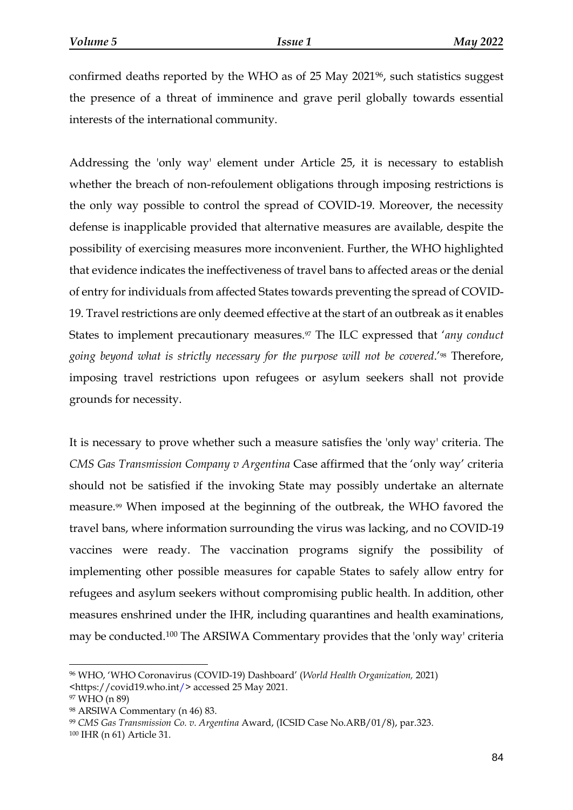confirmed deaths reported by the WHO as of 25 May 2021<sup>96</sup>, such statistics suggest the presence of a threat of imminence and grave peril globally towards essential interests of the international community.

Addressing the 'only way' element under Article 25, it is necessary to establish whether the breach of non-refoulement obligations through imposing restrictions is the only way possible to control the spread of COVID-19. Moreover, the necessity defense is inapplicable provided that alternative measures are available, despite the possibility of exercising measures more inconvenient. Further, the WHO highlighted that evidence indicates the ineffectiveness of travel bans to affected areas or the denial of entry for individuals from affected States towards preventing the spread of COVID-19. Travel restrictions are only deemed effective at the start of an outbreak as it enables States to implement precautionary measures. <sup>97</sup> The ILC expressed that '*any conduct going beyond what is strictly necessary for the purpose will not be covered*.'<sup>98</sup> Therefore, imposing travel restrictions upon refugees or asylum seekers shall not provide grounds for necessity.

It is necessary to prove whether such a measure satisfies the 'only way' criteria. The *CMS Gas Transmission Company v Argentina* Case affirmed that the 'only way' criteria should not be satisfied if the invoking State may possibly undertake an alternate measure.<sup>99</sup> When imposed at the beginning of the outbreak, the WHO favored the travel bans, where information surrounding the virus was lacking, and no COVID-19 vaccines were ready. The vaccination programs signify the possibility of implementing other possible measures for capable States to safely allow entry for refugees and asylum seekers without compromising public health. In addition, other measures enshrined under the IHR, including quarantines and health examinations, may be conducted.<sup>100</sup> The ARSIWA Commentary provides that the 'only way' criteria

<sup>96</sup> WHO, 'WHO Coronavirus (COVID-19) Dashboard' (*World Health Organization,* 2021) [<https://covid19.who.int/>](https://covid19.who.int/) accessed 25 May 2021.

<sup>97</sup> WHO (n 89)

<sup>98</sup> ARSIWA Commentary (n 46) 83.

<sup>99</sup> *CMS Gas Transmission Co. v. Argentina* Award, (ICSID Case No.ARB/01/8), par.323.

<sup>100</sup> IHR (n 61) Article 31.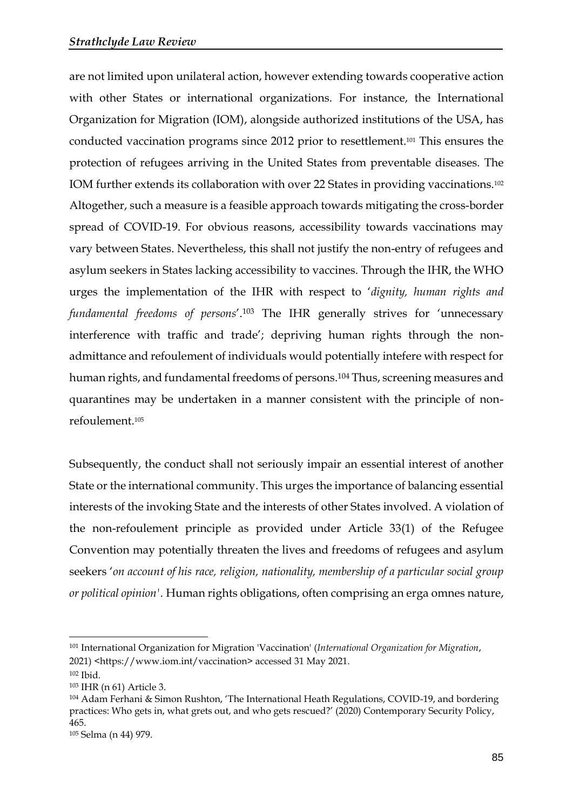are not limited upon unilateral action, however extending towards cooperative action with other States or international organizations. For instance, the International Organization for Migration (IOM), alongside authorized institutions of the USA, has conducted vaccination programs since 2012 prior to resettlement.<sup>101</sup> This ensures the protection of refugees arriving in the United States from preventable diseases. The IOM further extends its collaboration with over 22 States in providing vaccinations.<sup>102</sup> Altogether, such a measure is a feasible approach towards mitigating the cross-border spread of COVID-19. For obvious reasons, accessibility towards vaccinations may vary between States. Nevertheless, this shall not justify the non-entry of refugees and asylum seekers in States lacking accessibility to vaccines. Through the IHR, the WHO urges the implementation of the IHR with respect to '*dignity, human rights and fundamental freedoms of persons*'.<sup>103</sup> The IHR generally strives for 'unnecessary interference with traffic and trade'; depriving human rights through the nonadmittance and refoulement of individuals would potentially intefere with respect for human rights, and fundamental freedoms of persons. <sup>104</sup> Thus, screening measures and quarantines may be undertaken in a manner consistent with the principle of nonrefoulement.<sup>105</sup>

Subsequently, the conduct shall not seriously impair an essential interest of another State or the international community. This urges the importance of balancing essential interests of the invoking State and the interests of other States involved. A violation of the non-refoulement principle as provided under Article 33(1) of the Refugee Convention may potentially threaten the lives and freedoms of refugees and asylum seekers '*on account of his race, religion, nationality, membership of a particular social group or political opinion'.* Human rights obligations, often comprising an erga omnes nature,

<sup>101</sup> International Organization for Migration 'Vaccination' (*International Organization for Migration*, 2021) <https://www.iom.int/vaccination> accessed 31 May 2021.

<sup>102</sup> Ibid.

<sup>103</sup> IHR (n 61) Article 3.

<sup>104</sup> Adam Ferhani & Simon Rushton, 'The International Heath Regulations, COVID-19, and bordering practices: Who gets in, what grets out, and who gets rescued?' (2020) Contemporary Security Policy, 465.

<sup>105</sup> Selma (n 44) 979.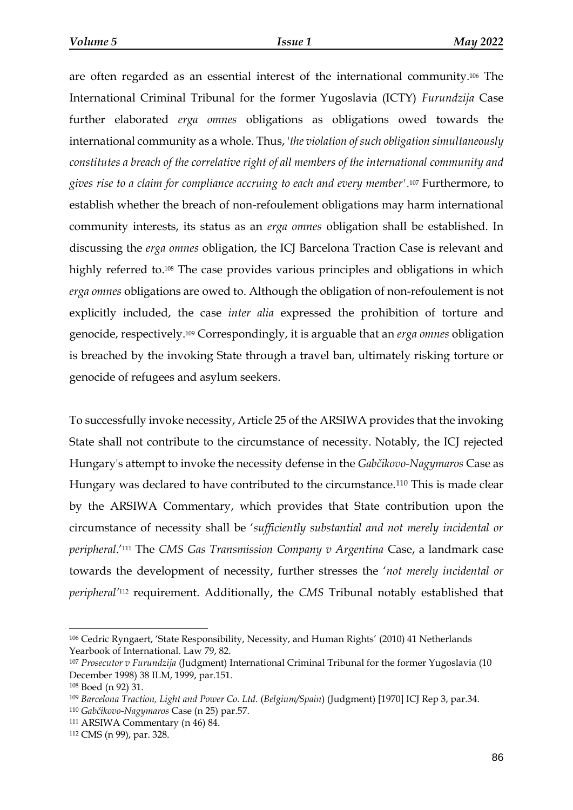are often regarded as an essential interest of the international community.<sup>106</sup> The International Criminal Tribunal for the former Yugoslavia (ICTY) *Furundzija* Case further elaborated *erga omnes* obligations as obligations owed towards the international community as a whole. Thus, '*the violation of such obligation simultaneously constitutes a breach of the correlative right of all members of the international community and gives rise to a claim for compliance accruing to each and every member'.* <sup>107</sup> Furthermore, to establish whether the breach of non-refoulement obligations may harm international community interests, its status as an *erga omnes* obligation shall be established. In discussing the *erga omnes* obligation, the ICJ Barcelona Traction Case is relevant and highly referred to.<sup>108</sup> The case provides various principles and obligations in which *erga omnes* obligations are owed to. Although the obligation of non-refoulement is not explicitly included, the case *inter alia* expressed the prohibition of torture and genocide, respectively.<sup>109</sup> Correspondingly, it is arguable that an *erga omnes* obligation is breached by the invoking State through a travel ban, ultimately risking torture or genocide of refugees and asylum seekers.

To successfully invoke necessity, Article 25 of the ARSIWA provides that the invoking State shall not contribute to the circumstance of necessity. Notably, the ICJ rejected Hungary's attempt to invoke the necessity defense in the *Gabčikovo-Nagymaros* Case as Hungary was declared to have contributed to the circumstance.<sup>110</sup> This is made clear by the ARSIWA Commentary, which provides that State contribution upon the circumstance of necessity shall be '*sufficiently substantial and not merely incidental or peripheral*.' <sup>111</sup> The *CMS Gas Transmission Company v Argentina* Case, a landmark case towards the development of necessity, further stresses the '*not merely incidental or peripheral'* <sup>112</sup> requirement. Additionally, the *CMS* Tribunal notably established that

<sup>106</sup> Cedric Ryngaert, 'State Responsibility, Necessity, and Human Rights' (2010) 41 Netherlands Yearbook of International. Law 79, 82.

<sup>107</sup> *Prosecutor v Furundzija* (Judgment) International Criminal Tribunal for the former Yugoslavia (10 December 1998) 38 ILM, 1999, par.151.

<sup>108</sup> Boed (n 92) 31.

<sup>109</sup> *Barcelona Traction, Light and Power Co. Ltd.* (*Belgium/Spain*) (Judgment) [1970] ICJ Rep 3, par.34. <sup>110</sup> *Gabčikovo-Nagymaros* Case (n 25) par.57.

<sup>111</sup> ARSIWA Commentary (n 46) 84.

<sup>112</sup> CMS (n 99), par. 328.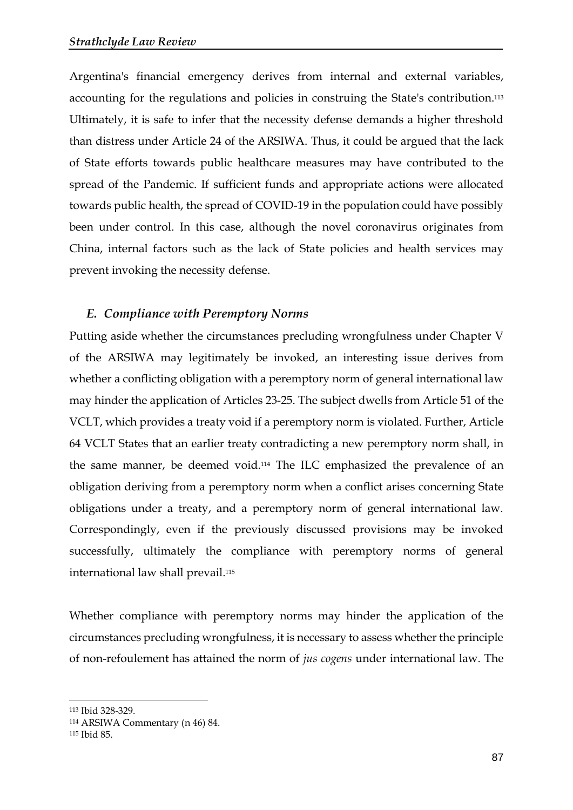Argentina's financial emergency derives from internal and external variables, accounting for the regulations and policies in construing the State's contribution.<sup>113</sup> Ultimately, it is safe to infer that the necessity defense demands a higher threshold than distress under Article 24 of the ARSIWA. Thus, it could be argued that the lack of State efforts towards public healthcare measures may have contributed to the spread of the Pandemic. If sufficient funds and appropriate actions were allocated towards public health, the spread of COVID-19 in the population could have possibly been under control. In this case, although the novel coronavirus originates from China, internal factors such as the lack of State policies and health services may prevent invoking the necessity defense.

### *E. Compliance with Peremptory Norms*

Putting aside whether the circumstances precluding wrongfulness under Chapter V of the ARSIWA may legitimately be invoked, an interesting issue derives from whether a conflicting obligation with a peremptory norm of general international law may hinder the application of Articles 23-25. The subject dwells from Article 51 of the VCLT, which provides a treaty void if a peremptory norm is violated. Further, Article 64 VCLT States that an earlier treaty contradicting a new peremptory norm shall, in the same manner, be deemed void.<sup>114</sup> The ILC emphasized the prevalence of an obligation deriving from a peremptory norm when a conflict arises concerning State obligations under a treaty, and a peremptory norm of general international law. Correspondingly, even if the previously discussed provisions may be invoked successfully, ultimately the compliance with peremptory norms of general international law shall prevail.<sup>115</sup>

Whether compliance with peremptory norms may hinder the application of the circumstances precluding wrongfulness, it is necessary to assess whether the principle of non-refoulement has attained the norm of *jus cogens* under international law. The

<sup>113</sup> Ibid 328-329.

<sup>114</sup> ARSIWA Commentary (n 46) 84.

<sup>115</sup> Ibid 85.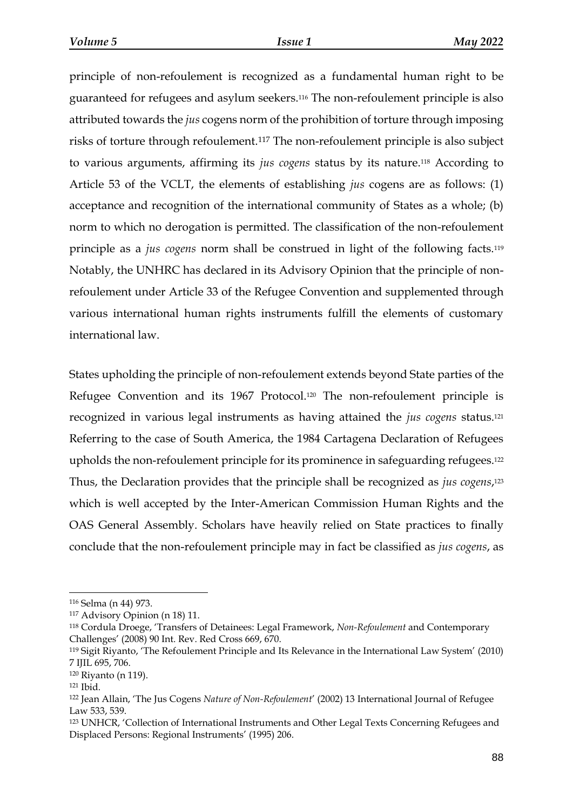principle of non-refoulement is recognized as a fundamental human right to be guaranteed for refugees and asylum seekers.<sup>116</sup> The non-refoulement principle is also attributed towards the *jus* cogens norm of the prohibition of torture through imposing risks of torture through refoulement.<sup>117</sup> The non-refoulement principle is also subject to various arguments, affirming its *jus cogens* status by its nature.<sup>118</sup> According to Article 53 of the VCLT, the elements of establishing *jus* cogens are as follows: (1) acceptance and recognition of the international community of States as a whole; (b) norm to which no derogation is permitted. The classification of the non-refoulement principle as a *jus cogens* norm shall be construed in light of the following facts.<sup>119</sup> Notably, the UNHRC has declared in its Advisory Opinion that the principle of nonrefoulement under Article 33 of the Refugee Convention and supplemented through various international human rights instruments fulfill the elements of customary international law.

States upholding the principle of non-refoulement extends beyond State parties of the Refugee Convention and its 1967 Protocol. <sup>120</sup> The non-refoulement principle is recognized in various legal instruments as having attained the *jus cogens* status.<sup>121</sup> Referring to the case of South America, the 1984 Cartagena Declaration of Refugees upholds the non-refoulement principle for its prominence in safeguarding refugees.<sup>122</sup> Thus, the Declaration provides that the principle shall be recognized as *jus cogens*, 123 which is well accepted by the Inter-American Commission Human Rights and the OAS General Assembly. Scholars have heavily relied on State practices to finally conclude that the non-refoulement principle may in fact be classified as *jus cogens*, as

<sup>116</sup> Selma (n 44) 973.

<sup>117</sup> Advisory Opinion (n 18) 11.

<sup>118</sup> Cordula Droege, 'Transfers of Detainees: Legal Framework, *Non-Refoulement* and Contemporary Challenges' (2008) 90 Int. Rev. Red Cross 669, 670.

<sup>119</sup> Sigit Riyanto, 'The Refoulement Principle and Its Relevance in the International Law System' (2010) 7 IJIL 695, 706.

<sup>120</sup> Riyanto (n 119).

<sup>121</sup> Ibid.

<sup>122</sup> Jean Allain, 'The Jus Cogens *Nature of Non-Refoulement*' (2002) 13 International Journal of Refugee Law 533, 539.

<sup>123</sup> UNHCR, 'Collection of International Instruments and Other Legal Texts Concerning Refugees and Displaced Persons: Regional Instruments' (1995) 206.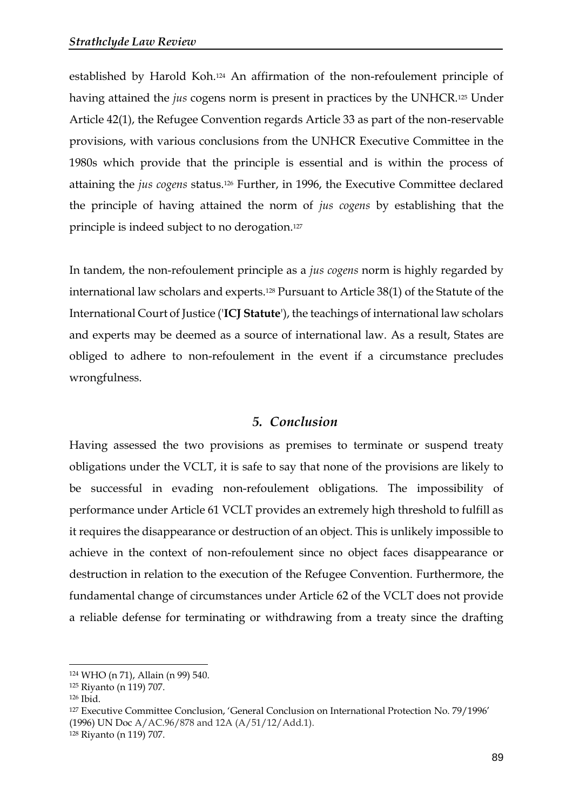established by Harold Koh.<sup>124</sup> An affirmation of the non-refoulement principle of having attained the *jus* cogens norm is present in practices by the UNHCR.<sup>125</sup> Under Article 42(1), the Refugee Convention regards Article 33 as part of the non-reservable provisions, with various conclusions from the UNHCR Executive Committee in the 1980s which provide that the principle is essential and is within the process of attaining the *jus cogens* status.<sup>126</sup> Further, in 1996, the Executive Committee declared the principle of having attained the norm of *jus cogens* by establishing that the principle is indeed subject to no derogation.<sup>127</sup>

In tandem, the non-refoulement principle as a *jus cogens* norm is highly regarded by international law scholars and experts.<sup>128</sup> Pursuant to Article 38(1) of the Statute of the International Court of Justice ('**ICJ Statute**'), the teachings of international law scholars and experts may be deemed as a source of international law. As a result, States are obliged to adhere to non-refoulement in the event if a circumstance precludes wrongfulness.

## *5. Conclusion*

Having assessed the two provisions as premises to terminate or suspend treaty obligations under the VCLT, it is safe to say that none of the provisions are likely to be successful in evading non-refoulement obligations. The impossibility of performance under Article 61 VCLT provides an extremely high threshold to fulfill as it requires the disappearance or destruction of an object. This is unlikely impossible to achieve in the context of non-refoulement since no object faces disappearance or destruction in relation to the execution of the Refugee Convention. Furthermore, the fundamental change of circumstances under Article 62 of the VCLT does not provide a reliable defense for terminating or withdrawing from a treaty since the drafting

<sup>124</sup> WHO (n 71), Allain (n 99) 540.

<sup>125</sup> Riyanto (n 119) 707.

<sup>126</sup> Ibid.

<sup>127</sup> Executive Committee Conclusion, 'General Conclusion on International Protection No. 79/1996' (1996) UN Doc A/AC.96/878 and 12A (A/51/12/Add.1).

<sup>128</sup> Riyanto (n 119) 707.